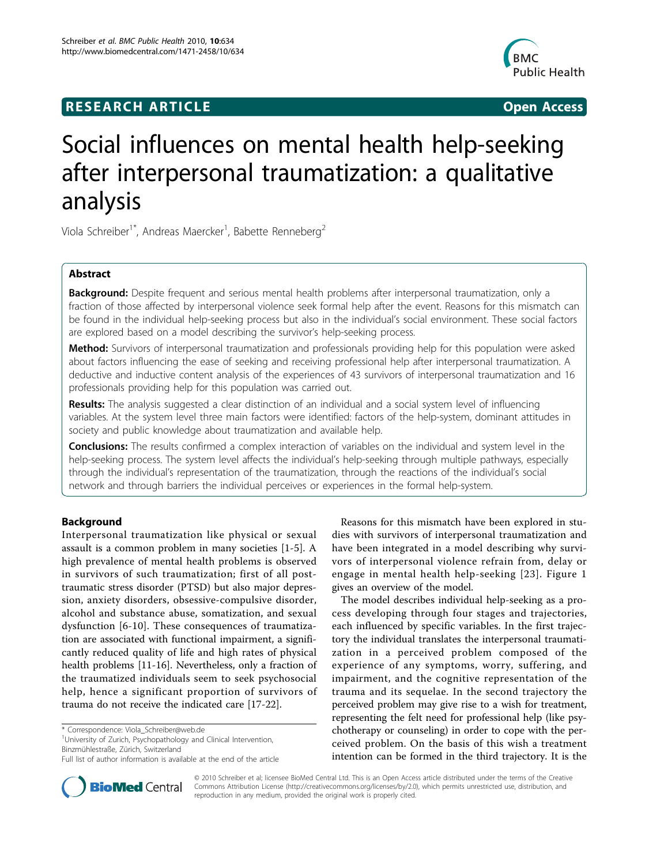## **RESEARCH ARTICLE Example 2018 CONSIDERING ACCESS**



# Social influences on mental health help-seeking after interpersonal traumatization: a qualitative analysis

Viola Schreiber $^{\text{1*}}$ , Andreas Maercker $^{\text{1}}$ , Babette Renneberg $^{\text{2}}$ 

## Abstract

**Background:** Despite frequent and serious mental health problems after interpersonal traumatization, only a fraction of those affected by interpersonal violence seek formal help after the event. Reasons for this mismatch can be found in the individual help-seeking process but also in the individual's social environment. These social factors are explored based on a model describing the survivor's help-seeking process.

Method: Survivors of interpersonal traumatization and professionals providing help for this population were asked about factors influencing the ease of seeking and receiving professional help after interpersonal traumatization. A deductive and inductive content analysis of the experiences of 43 survivors of interpersonal traumatization and 16 professionals providing help for this population was carried out.

Results: The analysis suggested a clear distinction of an individual and a social system level of influencing variables. At the system level three main factors were identified: factors of the help-system, dominant attitudes in society and public knowledge about traumatization and available help.

**Conclusions:** The results confirmed a complex interaction of variables on the individual and system level in the help-seeking process. The system level affects the individual's help-seeking through multiple pathways, especially through the individual's representation of the traumatization, through the reactions of the individual's social network and through barriers the individual perceives or experiences in the formal help-system.

## Background

Interpersonal traumatization like physical or sexual assault is a common problem in many societies [\[1](#page-7-0)-[5\]](#page-7-0). A high prevalence of mental health problems is observed in survivors of such traumatization; first of all posttraumatic stress disorder (PTSD) but also major depression, anxiety disorders, obsessive-compulsive disorder, alcohol and substance abuse, somatization, and sexual dysfunction [[6-10\]](#page-7-0). These consequences of traumatization are associated with functional impairment, a significantly reduced quality of life and high rates of physical health problems [[11-16\]](#page-7-0). Nevertheless, only a fraction of the traumatized individuals seem to seek psychosocial help, hence a significant proportion of survivors of trauma do not receive the indicated care [\[17](#page-7-0)-[22](#page-7-0)].

<sup>1</sup>University of Zurich, Psychopathology and Clinical Intervention, Binzmühlestraße, Zürich, Switzerland



The model describes individual help-seeking as a process developing through four stages and trajectories, each influenced by specific variables. In the first trajectory the individual translates the interpersonal traumatization in a perceived problem composed of the experience of any symptoms, worry, suffering, and impairment, and the cognitive representation of the trauma and its sequelae. In the second trajectory the perceived problem may give rise to a wish for treatment, representing the felt need for professional help (like psychotherapy or counseling) in order to cope with the perceived problem. On the basis of this wish a treatment intention can be formed in the third trajectory. It is the



© 2010 Schreiber et al; licensee BioMed Central Ltd. This is an Open Access article distributed under the terms of the Creative Commons Attribution License [\(http://creativecommons.org/licenses/by/2.0](http://creativecommons.org/licenses/by/2.0)), which permits unrestricted use, distribution, and reproduction in any medium, provided the original work is properly cited.

<sup>\*</sup> Correspondence: [Viola\\_Schreiber@web.de](mailto:Viola_Schreiber@web.de)

Full list of author information is available at the end of the article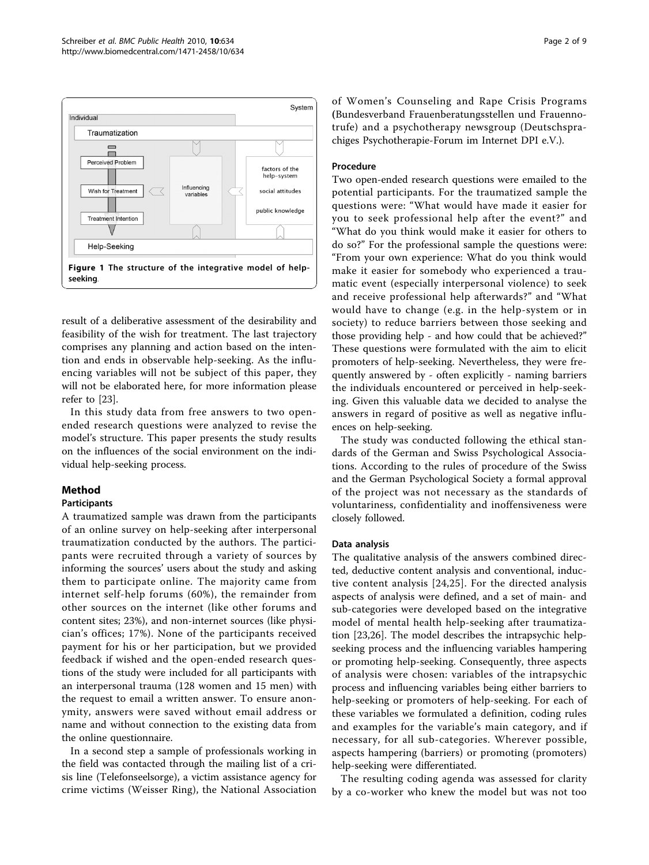<span id="page-1-0"></span>

result of a deliberative assessment of the desirability and feasibility of the wish for treatment. The last trajectory comprises any planning and action based on the intention and ends in observable help-seeking. As the influencing variables will not be subject of this paper, they will not be elaborated here, for more information please refer to [\[23](#page-7-0)].

In this study data from free answers to two openended research questions were analyzed to revise the model's structure. This paper presents the study results on the influences of the social environment on the individual help-seeking process.

## Method

## Participants

A traumatized sample was drawn from the participants of an online survey on help-seeking after interpersonal traumatization conducted by the authors. The participants were recruited through a variety of sources by informing the sources' users about the study and asking them to participate online. The majority came from internet self-help forums (60%), the remainder from other sources on the internet (like other forums and content sites; 23%), and non-internet sources (like physician's offices; 17%). None of the participants received payment for his or her participation, but we provided feedback if wished and the open-ended research questions of the study were included for all participants with an interpersonal trauma (128 women and 15 men) with the request to email a written answer. To ensure anonymity, answers were saved without email address or name and without connection to the existing data from the online questionnaire.

In a second step a sample of professionals working in the field was contacted through the mailing list of a crisis line (Telefonseelsorge), a victim assistance agency for crime victims (Weisser Ring), the National Association of Women's Counseling and Rape Crisis Programs (Bundesverband Frauenberatungsstellen und Frauennotrufe) and a psychotherapy newsgroup (Deutschsprachiges Psychotherapie-Forum im Internet DPI e.V.).

#### Procedure

Two open-ended research questions were emailed to the potential participants. For the traumatized sample the questions were: "What would have made it easier for you to seek professional help after the event?" and "What do you think would make it easier for others to do so?" For the professional sample the questions were: "From your own experience: What do you think would make it easier for somebody who experienced a traumatic event (especially interpersonal violence) to seek and receive professional help afterwards?" and "What would have to change (e.g. in the help-system or in society) to reduce barriers between those seeking and those providing help - and how could that be achieved?" These questions were formulated with the aim to elicit promoters of help-seeking. Nevertheless, they were frequently answered by - often explicitly - naming barriers the individuals encountered or perceived in help-seeking. Given this valuable data we decided to analyse the answers in regard of positive as well as negative influences on help-seeking.

The study was conducted following the ethical standards of the German and Swiss Psychological Associations. According to the rules of procedure of the Swiss and the German Psychological Society a formal approval of the project was not necessary as the standards of voluntariness, confidentiality and inoffensiveness were closely followed.

#### Data analysis

The qualitative analysis of the answers combined directed, deductive content analysis and conventional, inductive content analysis [[24](#page-7-0),[25\]](#page-7-0). For the directed analysis aspects of analysis were defined, and a set of main- and sub-categories were developed based on the integrative model of mental health help-seeking after traumatization [[23,](#page-7-0)[26\]](#page-8-0). The model describes the intrapsychic helpseeking process and the influencing variables hampering or promoting help-seeking. Consequently, three aspects of analysis were chosen: variables of the intrapsychic process and influencing variables being either barriers to help-seeking or promoters of help-seeking. For each of these variables we formulated a definition, coding rules and examples for the variable's main category, and if necessary, for all sub-categories. Wherever possible, aspects hampering (barriers) or promoting (promoters) help-seeking were differentiated.

The resulting coding agenda was assessed for clarity by a co-worker who knew the model but was not too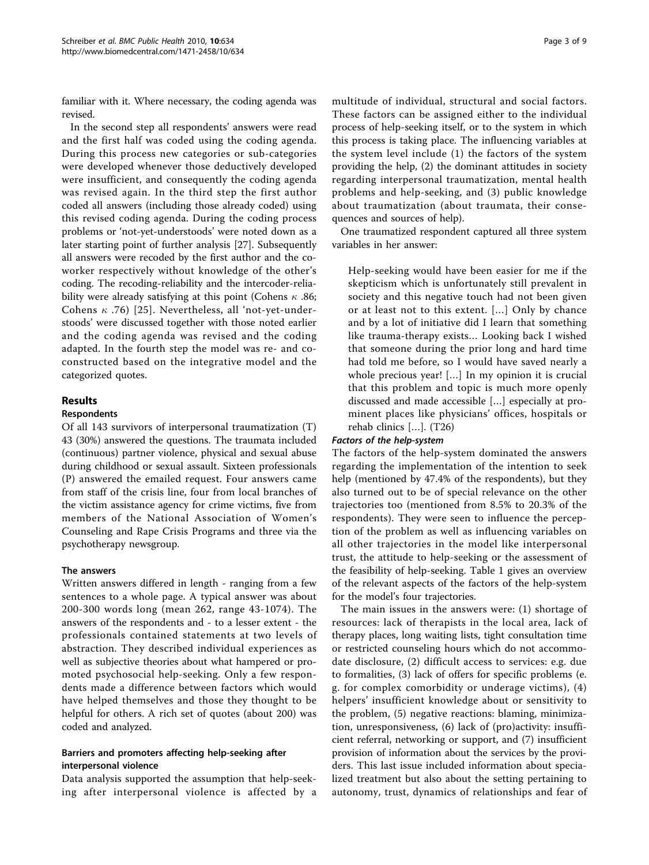familiar with it. Where necessary, the coding agenda was revised.

In the second step all respondents' answers were read and the first half was coded using the coding agenda. During this process new categories or sub-categories were developed whenever those deductively developed were insufficient, and consequently the coding agenda was revised again. In the third step the first author coded all answers (including those already coded) using this revised coding agenda. During the coding process problems or 'not-yet-understoods' were noted down as a later starting point of further analysis [\[27\]](#page-8-0). Subsequently all answers were recoded by the first author and the coworker respectively without knowledge of the other's coding. The recoding-reliability and the intercoder-reliability were already satisfying at this point (Cohens  $\kappa$  .86; Cohens  $\kappa$  .76) [[25\]](#page-7-0). Nevertheless, all 'not-yet-understoods' were discussed together with those noted earlier and the coding agenda was revised and the coding adapted. In the fourth step the model was re- and coconstructed based on the integrative model and the categorized quotes.

## Results

#### Respondents

Of all 143 survivors of interpersonal traumatization (T) 43 (30%) answered the questions. The traumata included (continuous) partner violence, physical and sexual abuse during childhood or sexual assault. Sixteen professionals (P) answered the emailed request. Four answers came from staff of the crisis line, four from local branches of the victim assistance agency for crime victims, five from members of the National Association of Women's Counseling and Rape Crisis Programs and three via the psychotherapy newsgroup.

## The answers

Written answers differed in length - ranging from a few sentences to a whole page. A typical answer was about 200-300 words long (mean 262, range 43-1074). The answers of the respondents and - to a lesser extent - the professionals contained statements at two levels of abstraction. They described individual experiences as well as subjective theories about what hampered or promoted psychosocial help-seeking. Only a few respondents made a difference between factors which would have helped themselves and those they thought to be helpful for others. A rich set of quotes (about 200) was coded and analyzed.

## Barriers and promoters affecting help-seeking after interpersonal violence

Data analysis supported the assumption that help-seeking after interpersonal violence is affected by a multitude of individual, structural and social factors. These factors can be assigned either to the individual process of help-seeking itself, or to the system in which this process is taking place. The influencing variables at the system level include (1) the factors of the system providing the help, (2) the dominant attitudes in society regarding interpersonal traumatization, mental health problems and help-seeking, and (3) public knowledge about traumatization (about traumata, their consequences and sources of help).

One traumatized respondent captured all three system variables in her answer:

Help-seeking would have been easier for me if the skepticism which is unfortunately still prevalent in society and this negative touch had not been given or at least not to this extent. […] Only by chance and by a lot of initiative did I learn that something like trauma-therapy exists… Looking back I wished that someone during the prior long and hard time had told me before, so I would have saved nearly a whole precious year! […] In my opinion it is crucial that this problem and topic is much more openly discussed and made accessible […] especially at prominent places like physicians' offices, hospitals or rehab clinics […]. (T26)

## Factors of the help-system

The factors of the help-system dominated the answers regarding the implementation of the intention to seek help (mentioned by 47.4% of the respondents), but they also turned out to be of special relevance on the other trajectories too (mentioned from 8.5% to 20.3% of the respondents). They were seen to influence the perception of the problem as well as influencing variables on all other trajectories in the model like interpersonal trust, the attitude to help-seeking or the assessment of the feasibility of help-seeking. Table [1](#page-3-0) gives an overview of the relevant aspects of the factors of the help-system for the model's four trajectories.

The main issues in the answers were: (1) shortage of resources: lack of therapists in the local area, lack of therapy places, long waiting lists, tight consultation time or restricted counseling hours which do not accommodate disclosure, (2) difficult access to services: e.g. due to formalities, (3) lack of offers for specific problems (e. g. for complex comorbidity or underage victims), (4) helpers' insufficient knowledge about or sensitivity to the problem, (5) negative reactions: blaming, minimization, unresponsiveness, (6) lack of (pro)activity: insufficient referral, networking or support, and (7) insufficient provision of information about the services by the providers. This last issue included information about specialized treatment but also about the setting pertaining to autonomy, trust, dynamics of relationships and fear of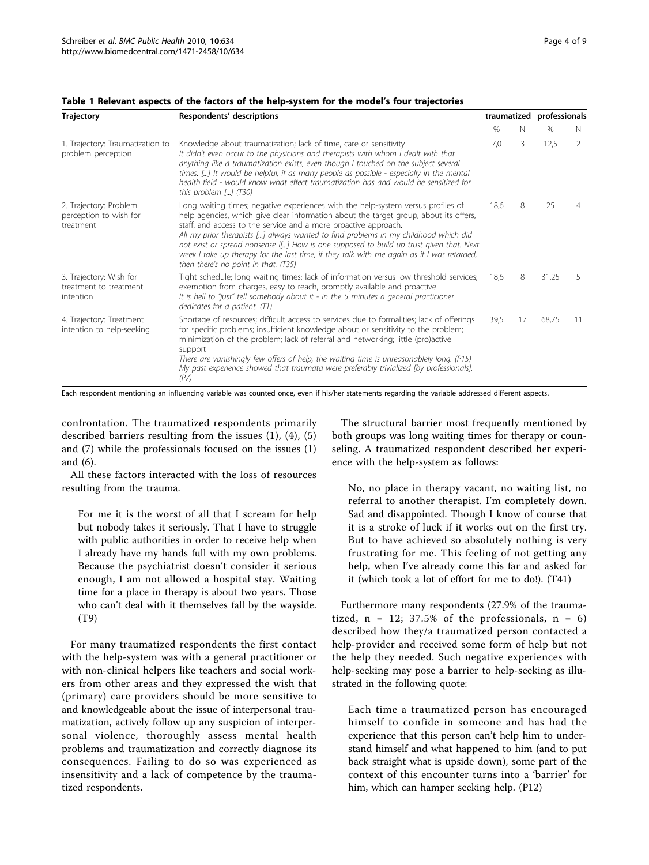| <b>Trajectory</b>                                              | Respondents' descriptions                                                                                                                                                                                                                                                                                                                                                                                                                                                                                                                                            |      |    | traumatized professionals |    |
|----------------------------------------------------------------|----------------------------------------------------------------------------------------------------------------------------------------------------------------------------------------------------------------------------------------------------------------------------------------------------------------------------------------------------------------------------------------------------------------------------------------------------------------------------------------------------------------------------------------------------------------------|------|----|---------------------------|----|
|                                                                |                                                                                                                                                                                                                                                                                                                                                                                                                                                                                                                                                                      | $\%$ | N  | %                         | N. |
| 1. Trajectory: Traumatization to<br>problem perception         | Knowledge about traumatization; lack of time, care or sensitivity<br>It didn't even occur to the physicians and therapists with whom I dealt with that<br>anything like a traumatization exists, even though I touched on the subject several<br>times. [] It would be helpful, if as many people as possible - especially in the mental<br>health field - would know what effect traumatization has and would be sensitized for<br>this problem $[]$ (T30)                                                                                                          | 7,0  | 3  | 12,5                      | 2  |
| 2. Trajectory: Problem<br>perception to wish for<br>treatment  | Long waiting times; negative experiences with the help-system versus profiles of<br>help agencies, which give clear information about the target group, about its offers,<br>staff, and access to the service and a more proactive approach.<br>All my prior therapists [] always wanted to find problems in my childhood which did<br>not exist or spread nonsense I[] How is one supposed to build up trust given that. Next<br>week I take up therapy for the last time, if they talk with me again as if I was retarded,<br>then there's no point in that. (T35) | 18.6 | 8  | 25                        | 4  |
| 3. Trajectory: Wish for<br>treatment to treatment<br>intention | Tight schedule; long waiting times; lack of information versus low threshold services;<br>exemption from charges, easy to reach, promptly available and proactive.<br>It is hell to "just" tell somebody about it - in the 5 minutes a general practicioner<br>dedicates for a patient. $(T1)$                                                                                                                                                                                                                                                                       | 18.6 | 8  | 31,25                     | 5  |
| 4. Trajectory: Treatment<br>intention to help-seeking          | Shortage of resources; difficult access to services due to formalities; lack of offerings<br>for specific problems; insufficient knowledge about or sensitivity to the problem;<br>minimization of the problem; lack of referral and networking; little (pro)active<br>support<br>There are vanishingly few offers of help, the waiting time is unreasonablely long. (P15)<br>My past experience showed that traumata were preferably trivialized [by professionals].<br>(P7)                                                                                        | 39,5 | 17 | 68.75                     | 11 |

#### <span id="page-3-0"></span>Table 1 Relevant aspects of the factors of the help-system for the model's four trajectories

Each respondent mentioning an influencing variable was counted once, even if his/her statements regarding the variable addressed different aspects.

confrontation. The traumatized respondents primarily described barriers resulting from the issues (1), (4), (5) and (7) while the professionals focused on the issues (1) and (6).

All these factors interacted with the loss of resources resulting from the trauma.

For me it is the worst of all that I scream for help but nobody takes it seriously. That I have to struggle with public authorities in order to receive help when I already have my hands full with my own problems. Because the psychiatrist doesn't consider it serious enough, I am not allowed a hospital stay. Waiting time for a place in therapy is about two years. Those who can't deal with it themselves fall by the wayside. (T9)

For many traumatized respondents the first contact with the help-system was with a general practitioner or with non-clinical helpers like teachers and social workers from other areas and they expressed the wish that (primary) care providers should be more sensitive to and knowledgeable about the issue of interpersonal traumatization, actively follow up any suspicion of interpersonal violence, thoroughly assess mental health problems and traumatization and correctly diagnose its consequences. Failing to do so was experienced as insensitivity and a lack of competence by the traumatized respondents.

The structural barrier most frequently mentioned by both groups was long waiting times for therapy or counseling. A traumatized respondent described her experience with the help-system as follows:

No, no place in therapy vacant, no waiting list, no referral to another therapist. I'm completely down. Sad and disappointed. Though I know of course that it is a stroke of luck if it works out on the first try. But to have achieved so absolutely nothing is very frustrating for me. This feeling of not getting any help, when I've already come this far and asked for it (which took a lot of effort for me to do!). (T41)

Furthermore many respondents (27.9% of the traumatized,  $n = 12$ ; 37.5% of the professionals,  $n = 6$ ) described how they/a traumatized person contacted a help-provider and received some form of help but not the help they needed. Such negative experiences with help-seeking may pose a barrier to help-seeking as illustrated in the following quote:

Each time a traumatized person has encouraged himself to confide in someone and has had the experience that this person can't help him to understand himself and what happened to him (and to put back straight what is upside down), some part of the context of this encounter turns into a 'barrier' for him, which can hamper seeking help. (P12)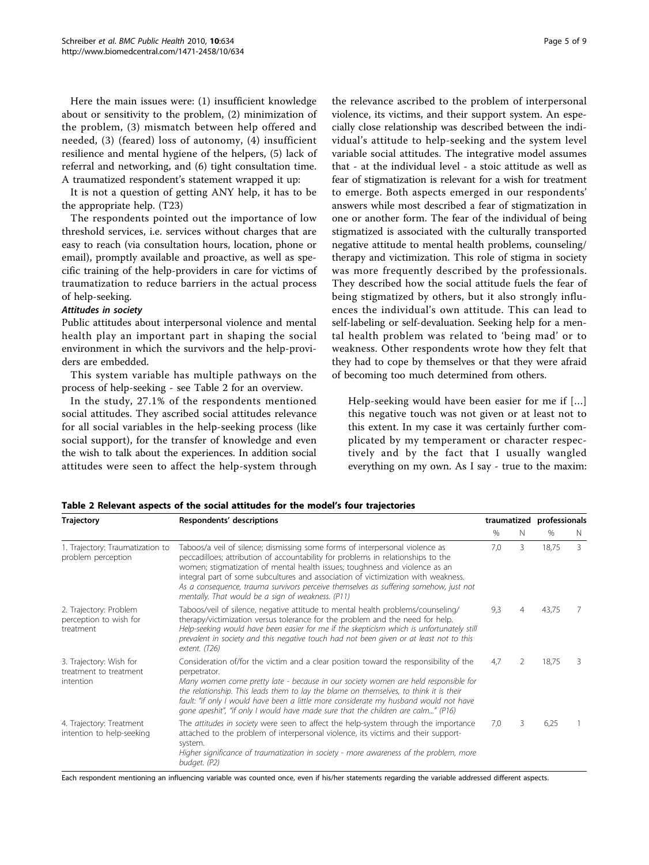Here the main issues were: (1) insufficient knowledge about or sensitivity to the problem, (2) minimization of the problem, (3) mismatch between help offered and needed, (3) (feared) loss of autonomy, (4) insufficient resilience and mental hygiene of the helpers, (5) lack of referral and networking, and (6) tight consultation time. A traumatized respondent's statement wrapped it up:

It is not a question of getting ANY help, it has to be the appropriate help. (T23)

The respondents pointed out the importance of low threshold services, i.e. services without charges that are easy to reach (via consultation hours, location, phone or email), promptly available and proactive, as well as specific training of the help-providers in care for victims of traumatization to reduce barriers in the actual process of help-seeking.

#### Attitudes in society

Public attitudes about interpersonal violence and mental health play an important part in shaping the social environment in which the survivors and the help-providers are embedded.

This system variable has multiple pathways on the process of help-seeking - see Table 2 for an overview.

In the study, 27.1% of the respondents mentioned social attitudes. They ascribed social attitudes relevance for all social variables in the help-seeking process (like social support), for the transfer of knowledge and even the wish to talk about the experiences. In addition social attitudes were seen to affect the help-system through

the relevance ascribed to the problem of interpersonal violence, its victims, and their support system. An especially close relationship was described between the individual's attitude to help-seeking and the system level variable social attitudes. The integrative model assumes that - at the individual level - a stoic attitude as well as fear of stigmatization is relevant for a wish for treatment to emerge. Both aspects emerged in our respondents' answers while most described a fear of stigmatization in one or another form. The fear of the individual of being stigmatized is associated with the culturally transported negative attitude to mental health problems, counseling/ therapy and victimization. This role of stigma in society was more frequently described by the professionals. They described how the social attitude fuels the fear of being stigmatized by others, but it also strongly influences the individual's own attitude. This can lead to self-labeling or self-devaluation. Seeking help for a mental health problem was related to 'being mad' or to weakness. Other respondents wrote how they felt that they had to cope by themselves or that they were afraid of becoming too much determined from others.

Help-seeking would have been easier for me if […] this negative touch was not given or at least not to this extent. In my case it was certainly further complicated by my temperament or character respectively and by the fact that I usually wangled everything on my own. As I say - true to the maxim:

|  |  |  | Table 2 Relevant aspects of the social attitudes for the model's four trajectories |  |
|--|--|--|------------------------------------------------------------------------------------|--|
|--|--|--|------------------------------------------------------------------------------------|--|

| <b>Trajectory</b>                                              | Respondents' descriptions                                                                                                                                                                                                                                                                                                                                                                                                                                                          |      |               | traumatized professionals |   |
|----------------------------------------------------------------|------------------------------------------------------------------------------------------------------------------------------------------------------------------------------------------------------------------------------------------------------------------------------------------------------------------------------------------------------------------------------------------------------------------------------------------------------------------------------------|------|---------------|---------------------------|---|
|                                                                |                                                                                                                                                                                                                                                                                                                                                                                                                                                                                    | $\%$ | N             | $\%$                      | N |
| 1. Trajectory: Traumatization to<br>problem perception         | Taboos/a veil of silence; dismissing some forms of interpersonal violence as<br>peccadilloes; attribution of accountability for problems in relationships to the<br>women; stigmatization of mental health issues; toughness and violence as an<br>integral part of some subcultures and association of victimization with weakness.<br>As a consequence, trauma survivors perceive themselves as suffering somehow, just not<br>mentally. That would be a sign of weakness. (P11) | 7,0  | 3             | 18,75                     | 3 |
| 2. Trajectory: Problem<br>perception to wish for<br>treatment  | Taboos/veil of silence, negative attitude to mental health problems/counseling/<br>therapy/victimization versus tolerance for the problem and the need for help.<br>Help-seeking would have been easier for me if the skepticism which is unfortunately still<br>prevalent in society and this negative touch had not been given or at least not to this<br>extent. (T26)                                                                                                          | 9,3  | 4             | 43,75                     |   |
| 3. Trajectory: Wish for<br>treatment to treatment<br>intention | Consideration of/for the victim and a clear position toward the responsibility of the<br>perpetrator.<br>Many women come pretty late - because in our society women are held responsible for<br>the relationship. This leads them to lay the blame on themselves, to think it is their<br>fault: "if only I would have been a little more considerate my husband would not have<br>gone apeshit", "if only I would have made sure that the children are calm" (P16)                | 4.7  | $\mathcal{P}$ | 18,75                     | 3 |
| 4. Trajectory: Treatment<br>intention to help-seeking          | The <i>attitudes in society</i> were seen to affect the help-system through the importance<br>attached to the problem of interpersonal violence, its victims and their support-<br>system.<br>Higher significance of traumatization in society - more awareness of the problem, more<br>budget. (P2)                                                                                                                                                                               | 7,0  | 3             | 6,25                      |   |

Each respondent mentioning an influencing variable was counted once, even if his/her statements regarding the variable addressed different aspects.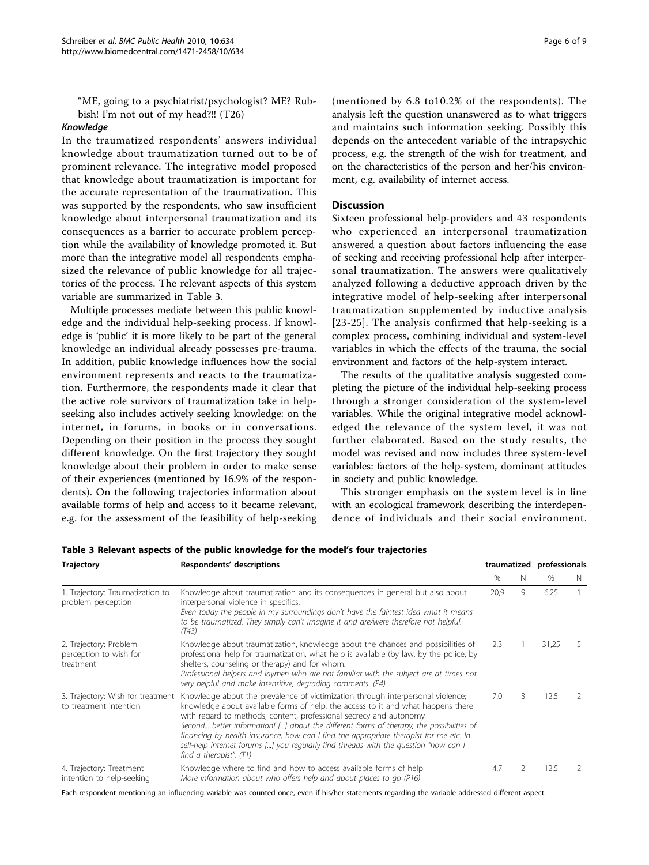"ME, going to a psychiatrist/psychologist? ME? Rubbish! I'm not out of my head?!! (T26)

#### Knowledge

In the traumatized respondents' answers individual knowledge about traumatization turned out to be of prominent relevance. The integrative model proposed that knowledge about traumatization is important for the accurate representation of the traumatization. This was supported by the respondents, who saw insufficient knowledge about interpersonal traumatization and its consequences as a barrier to accurate problem perception while the availability of knowledge promoted it. But more than the integrative model all respondents emphasized the relevance of public knowledge for all trajectories of the process. The relevant aspects of this system variable are summarized in Table 3.

Multiple processes mediate between this public knowledge and the individual help-seeking process. If knowledge is 'public' it is more likely to be part of the general knowledge an individual already possesses pre-trauma. In addition, public knowledge influences how the social environment represents and reacts to the traumatization. Furthermore, the respondents made it clear that the active role survivors of traumatization take in helpseeking also includes actively seeking knowledge: on the internet, in forums, in books or in conversations. Depending on their position in the process they sought different knowledge. On the first trajectory they sought knowledge about their problem in order to make sense of their experiences (mentioned by 16.9% of the respondents). On the following trajectories information about available forms of help and access to it became relevant, e.g. for the assessment of the feasibility of help-seeking

(mentioned by 6.8 to10.2% of the respondents). The analysis left the question unanswered as to what triggers and maintains such information seeking. Possibly this depends on the antecedent variable of the intrapsychic process, e.g. the strength of the wish for treatment, and on the characteristics of the person and her/his environment, e.g. availability of internet access.

#### **Discussion**

Sixteen professional help-providers and 43 respondents who experienced an interpersonal traumatization answered a question about factors influencing the ease of seeking and receiving professional help after interpersonal traumatization. The answers were qualitatively analyzed following a deductive approach driven by the integrative model of help-seeking after interpersonal traumatization supplemented by inductive analysis [[23](#page-7-0)-[25](#page-7-0)]. The analysis confirmed that help-seeking is a complex process, combining individual and system-level variables in which the effects of the trauma, the social environment and factors of the help-system interact.

The results of the qualitative analysis suggested completing the picture of the individual help-seeking process through a stronger consideration of the system-level variables. While the original integrative model acknowledged the relevance of the system level, it was not further elaborated. Based on the study results, the model was revised and now includes three system-level variables: factors of the help-system, dominant attitudes in society and public knowledge.

This stronger emphasis on the system level is in line with an ecological framework describing the interdependence of individuals and their social environment.

| <b>Trajectory</b>                                             | Respondents' descriptions                                                                                                                                                                                                                                                                                                                                                                                                                                                                                                                            |      |   | traumatized professionals |               |
|---------------------------------------------------------------|------------------------------------------------------------------------------------------------------------------------------------------------------------------------------------------------------------------------------------------------------------------------------------------------------------------------------------------------------------------------------------------------------------------------------------------------------------------------------------------------------------------------------------------------------|------|---|---------------------------|---------------|
|                                                               |                                                                                                                                                                                                                                                                                                                                                                                                                                                                                                                                                      | $\%$ | Ν | %                         | N             |
| 1. Trajectory: Traumatization to<br>problem perception        | Knowledge about traumatization and its consequences in general but also about<br>interpersonal violence in specifics.<br>Even today the people in my surroundings don't have the faintest idea what it means<br>to be traumatized. They simply can't imagine it and are/were therefore not helpful.<br>(T43)                                                                                                                                                                                                                                         | 20,9 | 9 | 6,25                      |               |
| 2. Trajectory: Problem<br>perception to wish for<br>treatment | Knowledge about traumatization, knowledge about the chances and possibilities of<br>professional help for traumatization, what help is available (by law, by the police, by<br>shelters, counseling or therapy) and for whom.<br>Professional helpers and laymen who are not familiar with the subject are at times not<br>very helpful and make insensitive, degrading comments. (P4)                                                                                                                                                               | 2,3  |   | 31,25                     | 5             |
| 3. Trajectory: Wish for treatment<br>to treatment intention   | Knowledge about the prevalence of victimization through interpersonal violence;<br>knowledge about available forms of help, the access to it and what happens there<br>with regard to methods, content, professional secrecy and autonomy<br>Second better information! [] about the different forms of therapy, the possibilities of<br>financing by health insurance, how can I find the appropriate therapist for me etc. In<br>self-help internet forums [] you regularly find threads with the question "how can I<br>find a therapist". $(T1)$ | 7,0  | 3 | 12,5                      | $\mathcal{L}$ |
| 4. Trajectory: Treatment<br>intention to help-seeking         | Knowledge where to find and how to access available forms of help<br>More information about who offers help and about places to go (P16)                                                                                                                                                                                                                                                                                                                                                                                                             | 4.7  | 2 | 12,5                      |               |

Table 3 Relevant aspects of the public knowledge for the model's four trajectories

Each respondent mentioning an influencing variable was counted once, even if his/her statements regarding the variable addressed different aspect.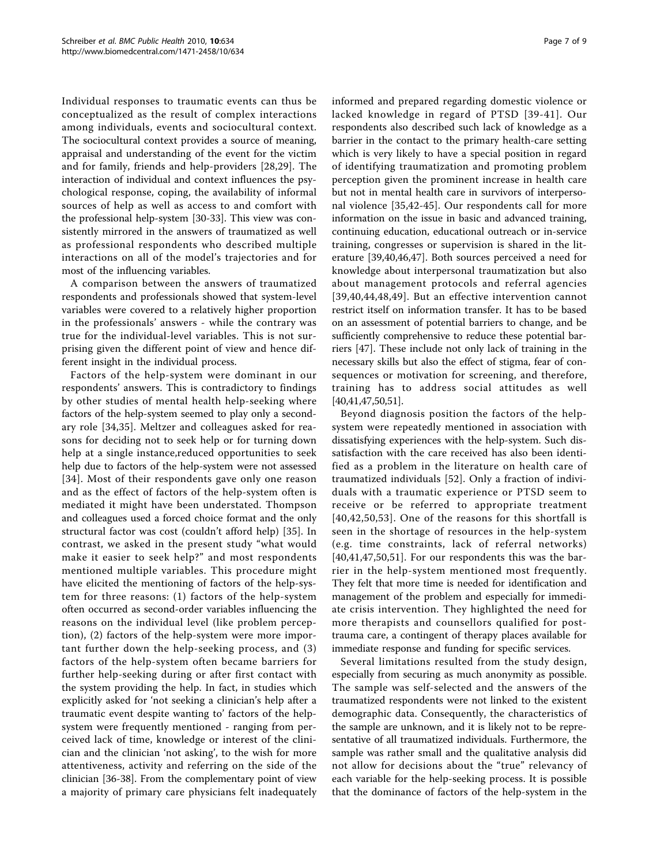Individual responses to traumatic events can thus be conceptualized as the result of complex interactions among individuals, events and sociocultural context. The sociocultural context provides a source of meaning, appraisal and understanding of the event for the victim and for family, friends and help-providers [\[28,29](#page-8-0)]. The interaction of individual and context influences the psychological response, coping, the availability of informal sources of help as well as access to and comfort with the professional help-system [[30](#page-8-0)-[33\]](#page-8-0). This view was consistently mirrored in the answers of traumatized as well as professional respondents who described multiple interactions on all of the model's trajectories and for most of the influencing variables.

A comparison between the answers of traumatized respondents and professionals showed that system-level variables were covered to a relatively higher proportion in the professionals' answers - while the contrary was true for the individual-level variables. This is not surprising given the different point of view and hence different insight in the individual process.

Factors of the help-system were dominant in our respondents' answers. This is contradictory to findings by other studies of mental health help-seeking where factors of the help-system seemed to play only a secondary role [[34,35](#page-8-0)]. Meltzer and colleagues asked for reasons for deciding not to seek help or for turning down help at a single instance,reduced opportunities to seek help due to factors of the help-system were not assessed [[34\]](#page-8-0). Most of their respondents gave only one reason and as the effect of factors of the help-system often is mediated it might have been understated. Thompson and colleagues used a forced choice format and the only structural factor was cost (couldn't afford help) [[35\]](#page-8-0). In contrast, we asked in the present study "what would make it easier to seek help?" and most respondents mentioned multiple variables. This procedure might have elicited the mentioning of factors of the help-system for three reasons: (1) factors of the help-system often occurred as second-order variables influencing the reasons on the individual level (like problem perception), (2) factors of the help-system were more important further down the help-seeking process, and (3) factors of the help-system often became barriers for further help-seeking during or after first contact with the system providing the help. In fact, in studies which explicitly asked for 'not seeking a clinician's help after a traumatic event despite wanting to' factors of the helpsystem were frequently mentioned - ranging from perceived lack of time, knowledge or interest of the clinician and the clinician 'not asking', to the wish for more attentiveness, activity and referring on the side of the clinician [\[36-38](#page-8-0)]. From the complementary point of view a majority of primary care physicians felt inadequately informed and prepared regarding domestic violence or lacked knowledge in regard of PTSD [[39](#page-8-0)-[41](#page-8-0)]. Our respondents also described such lack of knowledge as a barrier in the contact to the primary health-care setting which is very likely to have a special position in regard of identifying traumatization and promoting problem perception given the prominent increase in health care but not in mental health care in survivors of interpersonal violence [\[35,42-45\]](#page-8-0). Our respondents call for more information on the issue in basic and advanced training, continuing education, educational outreach or in-service training, congresses or supervision is shared in the literature [[39,40,46,47](#page-8-0)]. Both sources perceived a need for knowledge about interpersonal traumatization but also about management protocols and referral agencies [[39,40](#page-8-0),[44](#page-8-0),[48](#page-8-0),[49](#page-8-0)]. But an effective intervention cannot restrict itself on information transfer. It has to be based on an assessment of potential barriers to change, and be sufficiently comprehensive to reduce these potential barriers [[47](#page-8-0)]. These include not only lack of training in the necessary skills but also the effect of stigma, fear of consequences or motivation for screening, and therefore, training has to address social attitudes as well [[40,41,47](#page-8-0),[50,51](#page-8-0)].

Beyond diagnosis position the factors of the helpsystem were repeatedly mentioned in association with dissatisfying experiences with the help-system. Such dissatisfaction with the care received has also been identified as a problem in the literature on health care of traumatized individuals [[52\]](#page-8-0). Only a fraction of individuals with a traumatic experience or PTSD seem to receive or be referred to appropriate treatment [[40,42,50,53\]](#page-8-0). One of the reasons for this shortfall is seen in the shortage of resources in the help-system (e.g. time constraints, lack of referral networks) [[40,41,47,50](#page-8-0),[51\]](#page-8-0). For our respondents this was the barrier in the help-system mentioned most frequently. They felt that more time is needed for identification and management of the problem and especially for immediate crisis intervention. They highlighted the need for more therapists and counsellors qualified for posttrauma care, a contingent of therapy places available for immediate response and funding for specific services.

Several limitations resulted from the study design, especially from securing as much anonymity as possible. The sample was self-selected and the answers of the traumatized respondents were not linked to the existent demographic data. Consequently, the characteristics of the sample are unknown, and it is likely not to be representative of all traumatized individuals. Furthermore, the sample was rather small and the qualitative analysis did not allow for decisions about the "true" relevancy of each variable for the help-seeking process. It is possible that the dominance of factors of the help-system in the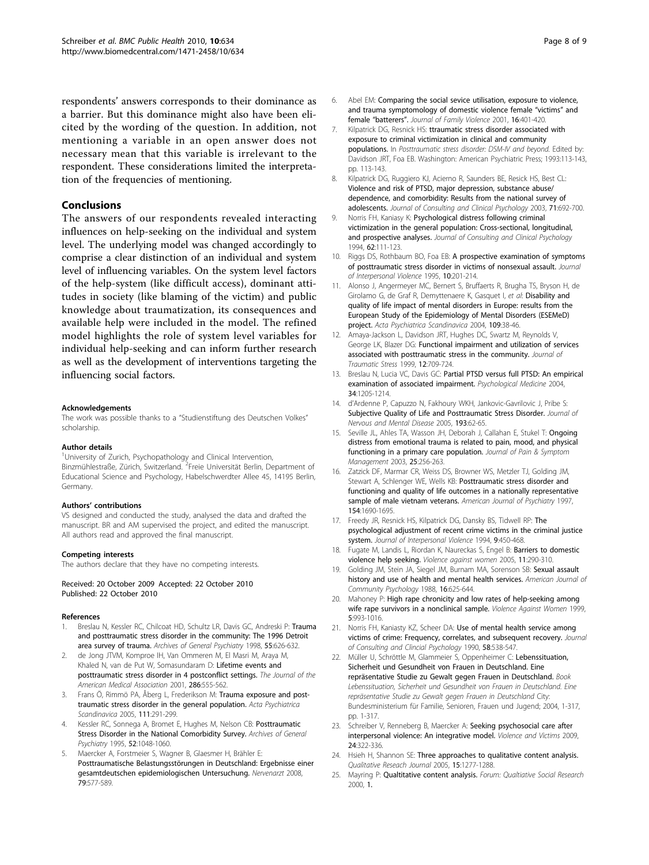<span id="page-7-0"></span>respondents' answers corresponds to their dominance as a barrier. But this dominance might also have been elicited by the wording of the question. In addition, not mentioning a variable in an open answer does not necessary mean that this variable is irrelevant to the respondent. These considerations limited the interpretation of the frequencies of mentioning.

### Conclusions

The answers of our respondents revealed interacting influences on help-seeking on the individual and system level. The underlying model was changed accordingly to comprise a clear distinction of an individual and system level of influencing variables. On the system level factors of the help-system (like difficult access), dominant attitudes in society (like blaming of the victim) and public knowledge about traumatization, its consequences and available help were included in the model. The refined model highlights the role of system level variables for individual help-seeking and can inform further research as well as the development of interventions targeting the influencing social factors.

#### Acknowledgements

The work was possible thanks to a "Studienstiftung des Deutschen Volkes" scholarship.

#### Author details

<sup>1</sup>University of Zurich, Psychopathology and Clinical Intervention, Binzmühlestraße, Zürich, Switzerland. <sup>2</sup>Freie Universität Berlin, Department of Educational Science and Psychology, Habelschwerdter Allee 45, 14195 Berlin, Germany.

#### Authors' contributions

VS designed and conducted the study, analysed the data and drafted the manuscript. BR and AM supervised the project, and edited the manuscript. All authors read and approved the final manuscript.

#### Competing interests

The authors declare that they have no competing interests.

#### Received: 20 October 2009 Accepted: 22 October 2010 Published: 22 October 2010

#### References

- 1. Breslau N, Kessler RC, Chilcoat HD, Schultz LR, Davis GC, Andreski P: [Trauma](http://www.ncbi.nlm.nih.gov/pubmed/9672053?dopt=Abstract) [and posttraumatic stress disorder in the community: The 1996 Detroit](http://www.ncbi.nlm.nih.gov/pubmed/9672053?dopt=Abstract) [area survey of trauma.](http://www.ncbi.nlm.nih.gov/pubmed/9672053?dopt=Abstract) Archives of General Psychiatry 1998, 55:626-632.
- de Jong JTVM, Komproe IH, Van Ommeren M, El Masri M, Araya M, Khaled N, van de Put W, Somasundaram D: Lifetime events and posttraumatic stress disorder in 4 postconflict settings. The Journal of the American Medical Association 2001, 286:555-562.
- 3. Frans Ö, Rimmö PA, Åberg L, Frederikson M: [Trauma exposure and post](http://www.ncbi.nlm.nih.gov/pubmed/15740465?dopt=Abstract)[traumatic stress disorder in the general population.](http://www.ncbi.nlm.nih.gov/pubmed/15740465?dopt=Abstract) Acta Psychiatrica Scandinavica 2005, 111:291-299.
- Kessler RC, Sonnega A, Bromet E, Hughes M, Nelson CB: [Posttraumatic](http://www.ncbi.nlm.nih.gov/pubmed/7492257?dopt=Abstract) [Stress Disorder in the National Comorbidity Survey.](http://www.ncbi.nlm.nih.gov/pubmed/7492257?dopt=Abstract) Archives of General Psychiatry 1995, 52:1048-1060.
- 5. Maercker A, Forstmeier S, Wagner B, Glaesmer H, Brähler E: [Posttraumatische Belastungsstörungen in Deutschland: Ergebnisse einer](http://www.ncbi.nlm.nih.gov/pubmed/18437339?dopt=Abstract) [gesamtdeutschen epidemiologischen Untersuchung.](http://www.ncbi.nlm.nih.gov/pubmed/18437339?dopt=Abstract) Nervenarzt 2008, 79:577-589.
- 6. Abel EM: Comparing the social sevice utilisation, exposure to violence, and trauma symptomology of domestic violence female "victims" and female "batterers". Journal of Family Violence 2001, 16:401-420.
- 7. Kilpatrick DG, Resnick HS: ttraumatic stress disorder associated with exposure to criminal victimization in clinical and community populations. In Posttraumatic stress disorder: DSM-IV and beyond. Edited by: Davidson JRT, Foa EB. Washington: American Psychiatric Press; 1993:113-143, pp. 113-143.
- 8. Kilpatrick DG, Ruggiero KJ, Acierno R, Saunders BE, Resick HS, Best CL: [Violence and risk of PTSD, major depression, substance abuse/](http://www.ncbi.nlm.nih.gov/pubmed/12924674?dopt=Abstract) [dependence, and comorbidity: Results from the national survey of](http://www.ncbi.nlm.nih.gov/pubmed/12924674?dopt=Abstract) [adolescents.](http://www.ncbi.nlm.nih.gov/pubmed/12924674?dopt=Abstract) Journal of Consulting and Clinical Psychology 2003, 71:692-700.
- 9. Norris FH, Kaniasy K: [Psychological distress following criminal](http://www.ncbi.nlm.nih.gov/pubmed/8034813?dopt=Abstract) [victimization in the general population: Cross-sectional, longitudinal,](http://www.ncbi.nlm.nih.gov/pubmed/8034813?dopt=Abstract) [and prospective analyses.](http://www.ncbi.nlm.nih.gov/pubmed/8034813?dopt=Abstract) Journal of Consulting and Clinical Psychology 1994, 62:111-123.
- 10. Riggs DS, Rothbaum BO, Foa EB: A prospective examination of symptoms of posttraumatic stress disorder in victims of nonsexual assault. Journal of Interpersonal Violence 1995, 10:201-214.
- 11. Alonso J, Angermeyer MC, Bernert S, Bruffaerts R, Brugha TS, Bryson H, de Girolamo G, de Graf R, Demyttenaere K, Gasquet I, et al: [Disability and](http://www.ncbi.nlm.nih.gov/pubmed/14674957?dopt=Abstract) [quality of life impact of mental disorders in Europe: results from the](http://www.ncbi.nlm.nih.gov/pubmed/14674957?dopt=Abstract) [European Study of the Epidemiology of Mental Disorders \(ESEMeD\)](http://www.ncbi.nlm.nih.gov/pubmed/14674957?dopt=Abstract) [project.](http://www.ncbi.nlm.nih.gov/pubmed/14674957?dopt=Abstract) Acta Psychiatrica Scandinavica 2004, 109:38-46.
- 12. Amaya-Jackson L, Davidson JRT, Hughes DC, Swartz M, Reynolds V, George LK, Blazer DG: [Functional impairment and utilization of services](http://www.ncbi.nlm.nih.gov/pubmed/10646189?dopt=Abstract) [associated with posttraumatic stress in the community.](http://www.ncbi.nlm.nih.gov/pubmed/10646189?dopt=Abstract) Journal of Traumatic Stress 1999, 12:709-724.
- 13. Breslau N, Lucia VC, Davis GC: [Partial PTSD versus full PTSD: An empirical](http://www.ncbi.nlm.nih.gov/pubmed/15697047?dopt=Abstract) [examination of associated impairment.](http://www.ncbi.nlm.nih.gov/pubmed/15697047?dopt=Abstract) Psychological Medicine 2004, 34:1205-1214.
- 14. d'Ardenne P, Capuzzo N, Fakhoury WKH, Jankovic-Gavrilovic J, Pribe S: [Subjective Quality of Life and Posttraumatic Stress Disorder.](http://www.ncbi.nlm.nih.gov/pubmed/15674137?dopt=Abstract) Journal of Nervous and Mental Disease 2005, 193:62-65.
- 15. Seville JL, Ahles TA, Wasson JH, Deborah J, Callahan E, Stukel T: Ongoing distress from emotional trauma is related to pain, mood, and physical functioning in a primary care population. Journal of Pain & Symptom Management 2003, 25:256-263.
- 16. Zatzick DF, Marmar CR, Weiss DS, Browner WS, Metzler TJ, Golding JM, Stewart A, Schlenger WE, Wells KB: [Posttraumatic stress disorder and](http://www.ncbi.nlm.nih.gov/pubmed/9396947?dopt=Abstract) [functioning and quality of life outcomes in a nationally representative](http://www.ncbi.nlm.nih.gov/pubmed/9396947?dopt=Abstract) [sample of male vietnam veterans.](http://www.ncbi.nlm.nih.gov/pubmed/9396947?dopt=Abstract) American Journal of Psychiatry 1997, 154:1690-1695.
- 17. Freedy JR, Resnick HS, Kilpatrick DG, Dansky BS, Tidwell RP: The psychological adjustment of recent crime victims in the criminal justice system. Journal of Interpersonal Violence 1994, 9:450-468.
- 18. Fugate M, Landis L, Riordan K, Naureckas S, Engel B: [Barriers to domestic](http://www.ncbi.nlm.nih.gov/pubmed/16043551?dopt=Abstract) [violence help seeking.](http://www.ncbi.nlm.nih.gov/pubmed/16043551?dopt=Abstract) Violence against women 2005, 11:290-310.
- 19. Golding JM, Stein JA, Siegel JM, Burnam MA, Sorenson SB: [Sexual assault](http://www.ncbi.nlm.nih.gov/pubmed/3218635?dopt=Abstract) [history and use of health and mental health services.](http://www.ncbi.nlm.nih.gov/pubmed/3218635?dopt=Abstract) American Journal of Community Psychology 1988, 16:625-644.
- 20. Mahoney P: High rape chronicity and low rates of help-seeking among wife rape survivors in a nonclinical sample. Violence Against Women 1999, 5:993-1016.
- 21. Norris FH, Kaniasty KZ, Scheer DA: Use of mental health service among victims of crime: Frequency, correlates, and subsequent recovery. Journal of Consulting and Clincial Psychology 1990, 58:538-547.
- Müller U, Schröttle M, Glammeier S, Oppenheimer C: Lebenssituation, Sicherheit und Gesundheit von Frauen in Deutschland. Eine repräsentative Studie zu Gewalt gegen Frauen in Deutschland. Book Lebenssituation, Sicherheit und Gesundheit von Frauen in Deutschland. Eine repräsentative Studie zu Gewalt gegen Frauen in Deutschland City: Bundesministerium für Familie, Senioren, Frauen und Jugend; 2004, 1-317, pp. 1-317.
- 23. Schreiber V, Renneberg B, Maercker A: [Seeking psychosocial care after](http://www.ncbi.nlm.nih.gov/pubmed/19634359?dopt=Abstract) [interpersonal violence: An integrative model.](http://www.ncbi.nlm.nih.gov/pubmed/19634359?dopt=Abstract) Violence and Victims 2009, 24:322-336.
- 24. Hsieh H, Shannon SE: Three approaches to qualitative content analysis. Qualitative Reseach Journal 2005, 15:1277-1288.
- 25. Mayring P: Qualtitative content analysis. Forum: Qualtiative Social Research 2000, 1.